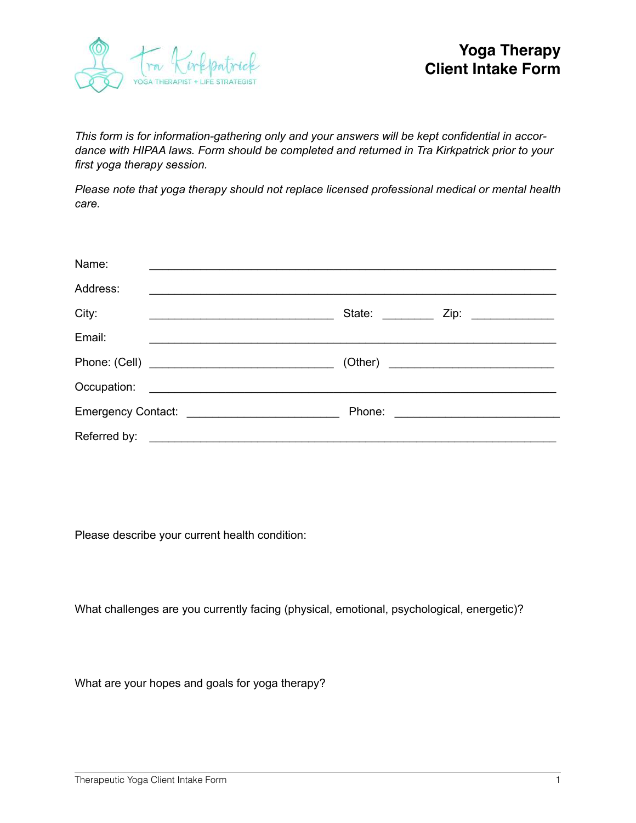

*This form is for information-gathering only and your answers will be kept confidential in accordance with HIPAA laws. Form should be completed and returned in Tra Kirkpatrick prior to your first yoga therapy session.* 

*Please note that yoga therapy should not replace licensed professional medical or mental health care.* 

| Name:                                                                                                                          |  |
|--------------------------------------------------------------------------------------------------------------------------------|--|
| Address:                                                                                                                       |  |
| City:<br><u> 1989 - Johann John Stein, mars an deutscher Stein und der Stein und der Stein und der Stein und der Stein und</u> |  |
| Email:<br>the control of the control of the control of the control of the control of the control of                            |  |
|                                                                                                                                |  |
|                                                                                                                                |  |
|                                                                                                                                |  |
|                                                                                                                                |  |

Please describe your current health condition:

What challenges are you currently facing (physical, emotional, psychological, energetic)?

What are your hopes and goals for yoga therapy?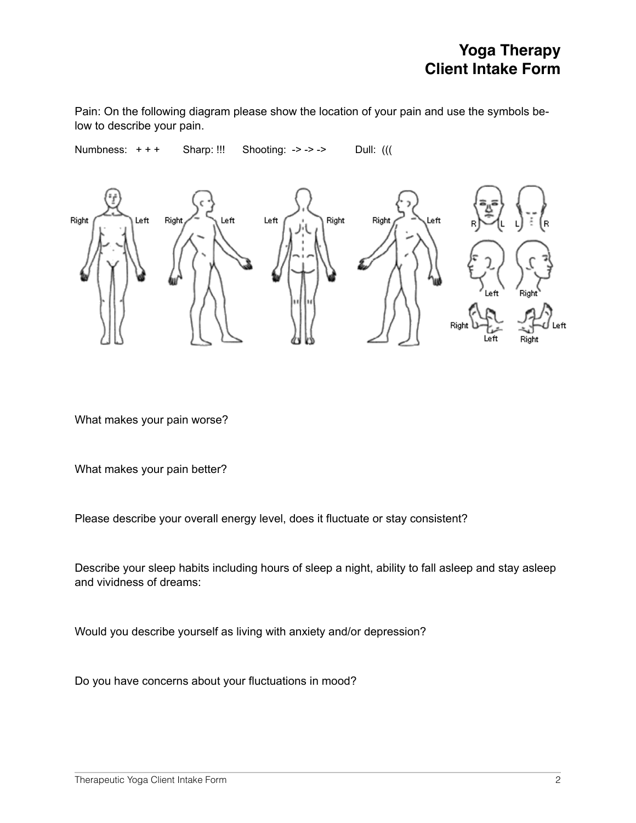## **Yoga Therapy Client Intake Form**

Pain: On the following diagram please show the location of your pain and use the symbols below to describe your pain.

Numbness: + + + Sharp: !!! Shooting: -> -> -> Dull: ((( Right Left Right Left Left Right Right Left Righ

What makes your pain worse?

What makes your pain better?

Please describe your overall energy level, does it fluctuate or stay consistent?

Describe your sleep habits including hours of sleep a night, ability to fall asleep and stay asleep and vividness of dreams:

Would you describe yourself as living with anxiety and/or depression?

Do you have concerns about your fluctuations in mood?